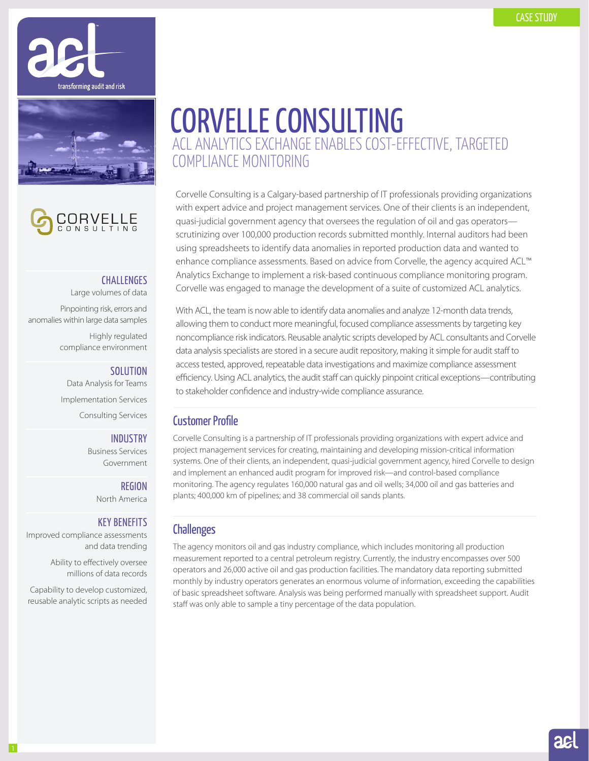





## **CHALLENGES**

Large volumes of data Pinpointing risk, errors and anomalies within large data samples Highly regulated compliance environment

#### **SOLUTION**

Data Analysis for Teams Implementation Services Consulting Services

#### **INDUSTRY**

Business Services Government

> REGION North America

### KEY BENEFITS

Improved compliance assessments and data trending

> Ability to effectively oversee millions of data records

Capability to develop customized, reusable analytic scripts as needed

# CORVELLE CONSULTING ACL ANALYTICS EXCHANGE ENABLES COST-EFFECTIVE, TARGETED COMPLIANCE MONITORING

Corvelle Consulting is a Calgary-based partnership of IT professionals providing organizations with expert advice and project management services. One of their clients is an independent, quasi-judicial government agency that oversees the regulation of oil and gas operators scrutinizing over 100,000 production records submitted monthly. Internal auditors had been using spreadsheets to identify data anomalies in reported production data and wanted to enhance compliance assessments. Based on advice from Corvelle, the agency acquired ACL™ Analytics Exchange to implement a risk-based continuous compliance monitoring program. Corvelle was engaged to manage the development of a suite of customized ACL analytics.

With ACL, the team is now able to identify data anomalies and analyze 12-month data trends, allowing them to conduct more meaningful, focused compliance assessments by targeting key noncompliance risk indicators. Reusable analytic scripts developed by ACL consultants and Corvelle data analysis specialists are stored in a secure audit repository, making it simple for audit staff to access tested, approved, repeatable data investigations and maximize compliance assessment efficiency. Using ACL analytics, the audit staff can quickly pinpoint critical exceptions—contributing to stakeholder confidence and industry-wide compliance assurance.

## Customer Profile

Corvelle Consulting is a partnership of IT professionals providing organizations with expert advice and project management services for creating, maintaining and developing mission-critical information systems. One of their clients, an independent, quasi-judicial government agency, hired Corvelle to design and implement an enhanced audit program for improved risk—and control-based compliance monitoring. The agency regulates 160,000 natural gas and oil wells; 34,000 oil and gas batteries and plants; 400,000 km of pipelines; and 38 commercial oil sands plants.

## **Challenges**

The agency monitors oil and gas industry compliance, which includes monitoring all production measurement reported to a central petroleum registry. Currently, the industry encompasses over 500 operators and 26,000 active oil and gas production facilities. The mandatory data reporting submitted monthly by industry operators generates an enormous volume of information, exceeding the capabilities of basic spreadsheet software. Analysis was being performed manually with spreadsheet support. Audit staff was only able to sample a tiny percentage of the data population.